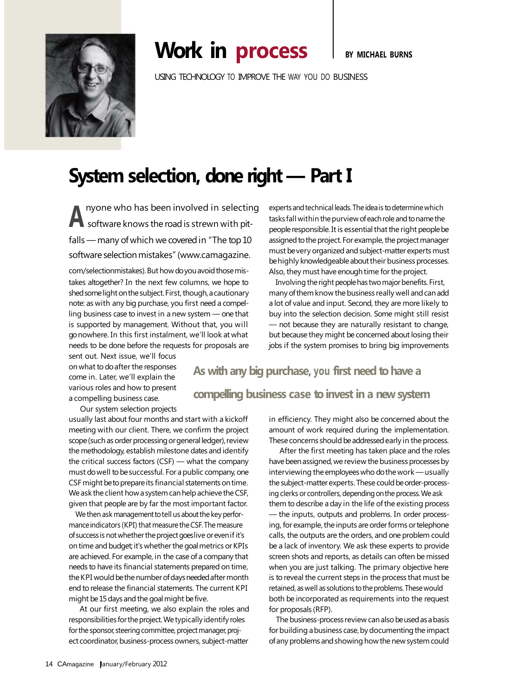

## **Work in process** I BY MICHAEL BURNS

USING TECHNOLOGY TO IMPROVE THE WAY YOU DO BUSINESS

## **System selection, done right — Part I**

A **A** software knows the road is strewn with pitnyone who has been involved in selecting falls — many of which we covered in "The top 10 software selection mistakes" (www.camagazine.

com/selectionmistakes). But how do you avoid those mistakes altogether? In the next few columns, we hope to shed some light on the subject. First, though, a cautionary note: as with any big purchase, you first need a compelling business case to invest in a new system — one that is supported by management. Without that, you will gonowhere. In this first instalment, we'll look at what needs to be done before the requests for proposals are

sent out. Next issue, we'll focus onwhat to doafter the responses come in. Later, we'll explain the various roles and how to present a compelling business case.

Our system selection projects

usually last about four months and start with a kickoff meeting with our client. There, we confirm the project scope (such as order processing or general ledger), review the methodology, establish milestone dates and identify the critical success factors (CSF) — what the company must do well to be successful. For a public company, one CSF might be to prepare its financial statements on time. We ask the client how a system can help achieve the CSF, given that people are by far the most important factor.

We then ask management to tell us about the key performance indicators (KPI) that measure the CSF. The measure of success is not whether the project goeslive or even if it's on time and budget; it's whether the goal metrics or KPIs are achieved. For example, in the case of a company that needs to have its financial statements prepared on time, the KPI would be the number of days needed after month end to release the financial statements. The current KPI might be 15 days and the goal might be five.

At our first meeting, we also explain the roles and responsibilities for the project. We typically identify roles for the sponsor, steering committee, project manager, project coordinator, business-process owners, subject-matter

experts and technical leads. The idea is to determine which tasks fall within the purview of each role and to name the people responsible. It is essential that the right people be assigned to the project. For example, the project manager must be very organized and subject-matter experts must behighly knowledgeable about their business processes. Also, they must have enough time for the project.

Involving the right people has two major benefits. First, many of them know the business really well and can add a lot of value and input. Second, they are more likely to buy into the selection decision. Some might still resist — not because they are naturally resistant to change, but because they might be concerned about losing their jobs if the system promises to bring big improvements

**As with any bigpurchase, you first need tohave a compelling** business case to invest in a new system

> in efficiency. They might also be concerned about the amount of work required during the implementation. These concerns should be addressed early in the process.

> After the first meeting has taken place and the roles have been assigned, we review the business processes by interviewing the employees who do the work — usually the subject-matter experts. These could be order-processing clerks or controllers, depending on the process. We ask them to describe a day in the life of the existing process — the inputs, outputs and problems. In order processing, for example, the inputs are order forms or telephone calls, the outputs are the orders, and one problem could be a lack of inventory. We ask these experts to provide screen shots and reports, as details can often be missed when you are just talking. The primary objective here is to reveal the current steps in the process that must be retained, as well as solutions to the problems. These would both be incorporated as requirements into the request for proposals (RFP).

> The business-process review can also be used as a basis for building a business case, by documenting the impact of any problems and showing how the new system could